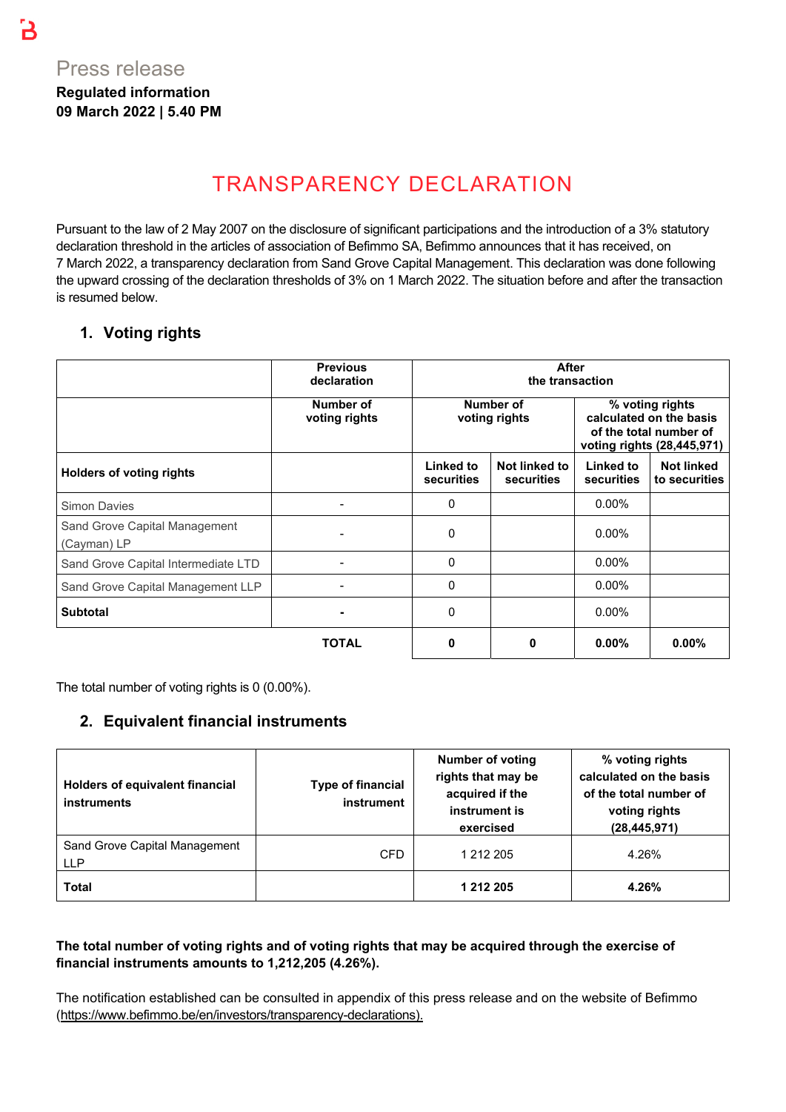# TRANSPARENCY DECLARATION

Pursuant to the law of 2 May 2007 on the disclosure of significant participations and the introduction of a 3% statutory declaration threshold in the articles of association of Befimmo SA, Befimmo announces that it has received, on 7 March 2022, a transparency declaration from Sand Grove Capital Management. This declaration was done following the upward crossing of the declaration thresholds of 3% on 1 March 2022. The situation before and after the transaction is resumed below.

### **1. Voting rights**

|                                              | <b>Previous</b><br>declaration |                                       | <b>After</b><br>the transaction |                                                                                                    |                                    |  |  |
|----------------------------------------------|--------------------------------|---------------------------------------|---------------------------------|----------------------------------------------------------------------------------------------------|------------------------------------|--|--|
|                                              | Number of<br>voting rights     | Number of<br>voting rights            |                                 | % voting rights<br>calculated on the basis<br>of the total number of<br>voting rights (28,445,971) |                                    |  |  |
| <b>Holders of voting rights</b>              |                                | <b>Linked to</b><br><b>securities</b> | Not linked to<br>securities     | Linked to<br>securities                                                                            | <b>Not linked</b><br>to securities |  |  |
| <b>Simon Davies</b>                          |                                | 0                                     |                                 | $0.00\%$                                                                                           |                                    |  |  |
| Sand Grove Capital Management<br>(Cayman) LP |                                | 0                                     |                                 | $0.00\%$                                                                                           |                                    |  |  |
| Sand Grove Capital Intermediate LTD          |                                | 0                                     |                                 | $0.00\%$                                                                                           |                                    |  |  |
| Sand Grove Capital Management LLP            |                                | 0                                     |                                 | $0.00\%$                                                                                           |                                    |  |  |
| <b>Subtotal</b>                              |                                | 0                                     |                                 | $0.00\%$                                                                                           |                                    |  |  |
|                                              | <b>TOTAL</b>                   | 0                                     | 0                               | $0.00\%$                                                                                           | $0.00\%$                           |  |  |

The total number of voting rights is 0 (0.00%).

#### **2. Equivalent financial instruments**

| Holders of equivalent financial<br>instruments | <b>Type of financial</b><br>instrument | <b>Number of voting</b><br>rights that may be<br>acquired if the<br>instrument is<br>exercised | % voting rights<br>calculated on the basis<br>of the total number of<br>voting rights<br>(28, 445, 971) |
|------------------------------------------------|----------------------------------------|------------------------------------------------------------------------------------------------|---------------------------------------------------------------------------------------------------------|
| Sand Grove Capital Management<br><b>LLP</b>    | <b>CFD</b>                             | 1 212 205                                                                                      | 4.26%                                                                                                   |
| Total                                          |                                        | 1 212 205                                                                                      | 4.26%                                                                                                   |

#### **The total number of voting rights and of voting rights that may be acquired through the exercise of financial instruments amounts to 1,212,205 (4.26%).**

The notification established can be consulted in appendix of this press release and on the website of Befimmo (https://www.befimmo.be/en/investors/transparency-declarations).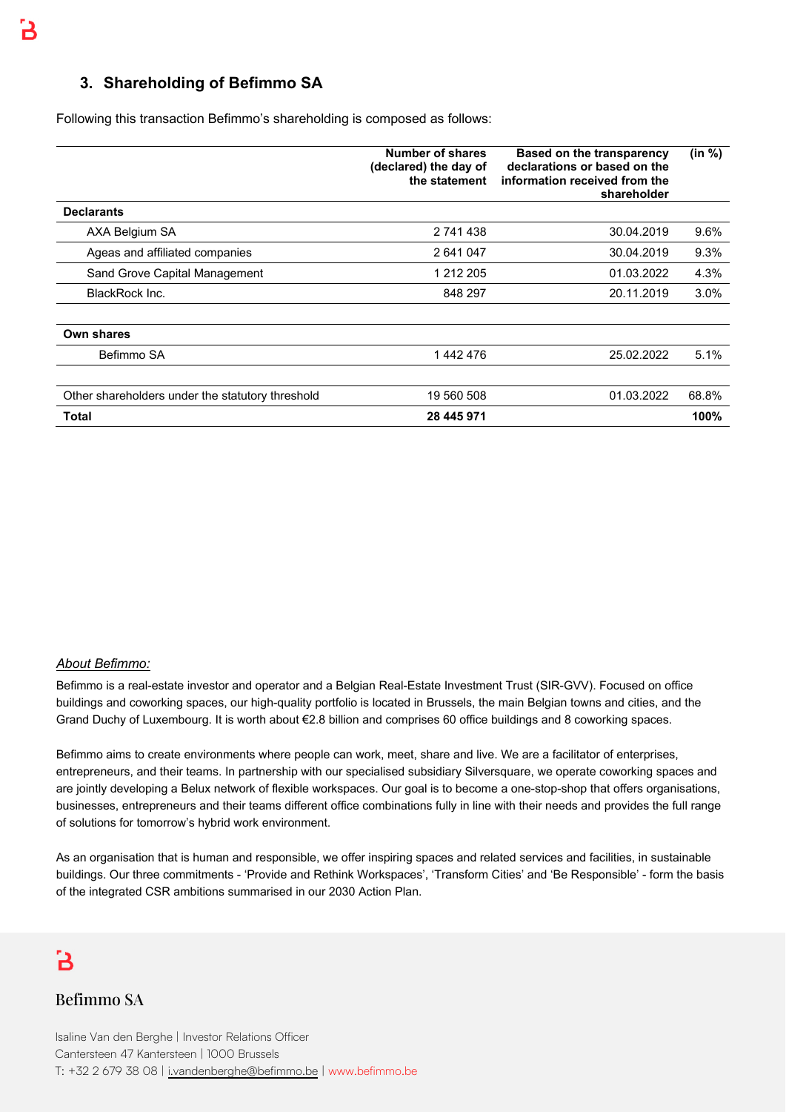#### **3. Shareholding of Befimmo SA**

Following this transaction Befimmo's shareholding is composed as follows:

|                                                  | Number of shares<br>(declared) the day of<br>the statement | <b>Based on the transparency</b><br>declarations or based on the<br>information received from the<br>shareholder | (in %) |
|--------------------------------------------------|------------------------------------------------------------|------------------------------------------------------------------------------------------------------------------|--------|
| <b>Declarants</b>                                |                                                            |                                                                                                                  |        |
| AXA Belgium SA                                   | 2 741 438                                                  | 30.04.2019                                                                                                       | 9.6%   |
| Ageas and affiliated companies                   | 2 641 047                                                  | 30.04.2019                                                                                                       | 9.3%   |
| Sand Grove Capital Management                    | 1 212 205                                                  | 01.03.2022                                                                                                       | 4.3%   |
| <b>BlackRock Inc.</b>                            | 848 297                                                    | 20.11.2019                                                                                                       | 3.0%   |
| Own shares                                       |                                                            |                                                                                                                  |        |
| Befimmo SA                                       | 1442476                                                    | 25.02.2022                                                                                                       | 5.1%   |
|                                                  |                                                            |                                                                                                                  |        |
| Other shareholders under the statutory threshold | 19 560 508                                                 | 01.03.2022                                                                                                       | 68.8%  |
| Total                                            | 28 445 971                                                 |                                                                                                                  | 100%   |

#### *About Befimmo:*

Befimmo is a real-estate investor and operator and a Belgian Real-Estate Investment Trust (SIR-GVV). Focused on office buildings and coworking spaces, our high-quality portfolio is located in Brussels, the main Belgian towns and cities, and the Grand Duchy of Luxembourg. It is worth about €2.8 billion and comprises 60 office buildings and 8 coworking spaces.

Befimmo aims to create environments where people can work, meet, share and live. We are a facilitator of enterprises, entrepreneurs, and their teams. In partnership with our specialised subsidiary Silversquare, we operate coworking spaces and are jointly developing a Belux network of flexible workspaces. Our goal is to become a one-stop-shop that offers organisations, businesses, entrepreneurs and their teams different office combinations fully in line with their needs and provides the full range of solutions for tomorrow's hybrid work environment.

As an organisation that is human and responsible, we offer inspiring spaces and related services and facilities, in sustainable buildings. Our three commitments - 'Provide and Rethink Workspaces', 'Transform Cities' and 'Be Responsible' - form the basis of the integrated CSR ambitions summarised in our 2030 Action Plan.

## В

#### Befimmo SA

Isaline Van den Berghe | Investor Relations Officer Cantersteen 47 Kantersteen | 1000 Brussels T: +32 2 679 38 08 | i.vandenberghe@befimmo.be | www.befimmo.be